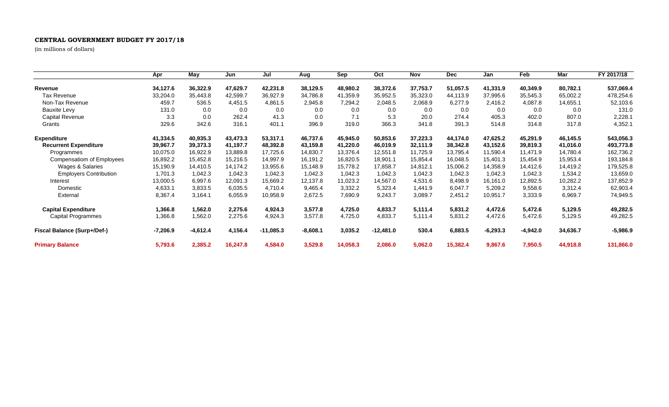## **CENTRAL GOVERNMENT BUDGET FY 2017/18**

(in millions of dollars)

|                                    | Apr        | May        | Jun      | Jul         | Aug        | Sep      | Oct         | Nov      | <b>Dec</b> | Jan        | Feb        | Mar      | FY 2017/18 |
|------------------------------------|------------|------------|----------|-------------|------------|----------|-------------|----------|------------|------------|------------|----------|------------|
| Revenue                            | 34,127.6   | 36,322.9   | 47,629.7 | 42,231.8    | 38,129.5   | 48,980.2 | 38,372.6    | 37,753.7 | 51,057.5   | 41,331.9   | 40,349.9   | 80,782.1 | 537,069.4  |
| <b>Tax Revenue</b>                 | 33,204.0   | 35,443.8   | 42,599.7 | 36,927.9    | 34,786.8   | 41,359.9 | 35,952.5    | 35,323.0 | 44,113.9   | 37,995.6   | 35,545.3   | 65,002.2 | 478,254.6  |
| Non-Tax Revenue                    | 459.7      | 536.5      | 4,451.5  | 4,861.5     | 2,945.8    | 7,294.2  | 2,048.5     | 2,068.9  | 6,277.9    | 2,416.2    | 4,087.8    | 14,655.1 | 52,103.6   |
| <b>Bauxite Levy</b>                | 131.0      | 0.0        | 0.0      | 0.0         | 0.0        | 0.0      | 0.0         | 0.0      | 0.0        | 0.0        | 0.0        | 0.0      | 131.0      |
| Capital Revenue                    | 3.3        | 0.0        | 262.4    | 41.3        | 0.0        | 7.1      | 5.3         | 20.0     | 274.4      | 405.3      | 402.0      | 807.0    | 2,228.1    |
| Grants                             | 329.6      | 342.6      | 316.1    | 401.1       | 396.9      | 319.0    | 366.3       | 341.8    | 391.3      | 514.8      | 314.8      | 317.8    | 4,352.1    |
| <b>Expenditure</b>                 | 41,334.5   | 40,935.3   | 43,473.3 | 53,317.1    | 46,737.6   | 45,945.0 | 50,853.6    | 37,223.3 | 44,174.0   | 47,625.2   | 45,291.9   | 46,145.5 | 543,056.3  |
| <b>Recurrent Expenditure</b>       | 39,967.7   | 39,373.3   | 41,197.7 | 48,392.8    | 43,159.8   | 41,220.0 | 46,019.9    | 32,111.9 | 38,342.8   | 43,152.6   | 39,819.3   | 41,016.0 | 493,773.8  |
| Programmes                         | 10,075.0   | 16,922.9   | 13,889.8 | 17,725.6    | 14,830.7   | 13,376.4 | 12,551.8    | 11,725.9 | 13,795.4   | 11,590.4   | 11,471.9   | 14,780.4 | 162,736.2  |
| <b>Compensatiom of Employees</b>   | 16,892.2   | 15,452.8   | 15,216.5 | 14,997.9    | 16,191.2   | 16,820.5 | 18,901.1    | 15,854.4 | 16,048.5   | 15,401.3   | 15,454.9   | 15,953.4 | 193,184.8  |
| Wages & Salaries                   | 15,190.9   | 14,410.5   | 14,174.2 | 13,955.6    | 15,148.9   | 15,778.2 | 17,858.7    | 14,812.1 | 15,006.2   | 14,358.9   | 14,412.6   | 14,419.2 | 179,525.8  |
| <b>Employers Contribution</b>      | 1,701.3    | 1,042.3    | 1,042.3  | 1,042.3     | 1,042.3    | 1,042.3  | 1,042.3     | 1,042.3  | 1,042.3    | 1,042.3    | 1,042.3    | 1,534.2  | 13,659.0   |
| Interest                           | 13,000.5   | 6,997.6    | 12,091.3 | 15,669.2    | 12,137.8   | 11,023.2 | 14,567.0    | 4,531.6  | 8,498.9    | 16,161.0   | 12,892.5   | 10,282.2 | 137,852.9  |
| Domestic                           | 4,633.1    | 3,833.5    | 6,035.5  | 4,710.4     | 9,465.4    | 3,332.2  | 5,323.4     | 1,441.9  | 6,047.7    | 5,209.2    | 9,558.6    | 3,312.4  | 62,903.4   |
| External                           | 8,367.4    | 3,164.1    | 6,055.9  | 10,958.9    | 2,672.5    | 7,690.9  | 9,243.7     | 3,089.7  | 2,451.2    | 10,951.7   | 3,333.9    | 6,969.7  | 74,949.5   |
| <b>Capital Expenditure</b>         | 1,366.8    | 1,562.0    | 2,275.6  | 4,924.3     | 3,577.8    | 4,725.0  | 4,833.7     | 5,111.4  | 5,831.2    | 4,472.6    | 5,472.6    | 5,129.5  | 49,282.5   |
| <b>Capital Programmes</b>          | 1,366.8    | 1,562.0    | 2,275.6  | 4,924.3     | 3,577.8    | 4,725.0  | 4,833.7     | 5,111.4  | 5,831.2    | 4,472.6    | 5,472.6    | 5,129.5  | 49,282.5   |
| <b>Fiscal Balance (Surp+/Def-)</b> | $-7,206.9$ | $-4,612.4$ | 4,156.4  | $-11,085.3$ | $-8,608.1$ | 3,035.2  | $-12,481.0$ | 530.4    | 6,883.5    | $-6,293.3$ | $-4,942.0$ | 34,636.7 | $-5,986.9$ |
| <b>Primary Balance</b>             | 5,793.6    | 2,385.2    | 16,247.8 | 4,584.0     | 3,529.8    | 14,058.3 | 2,086.0     | 5,062.0  | 15,382.4   | 9,867.6    | 7,950.5    | 44,918.8 | 131,866.0  |